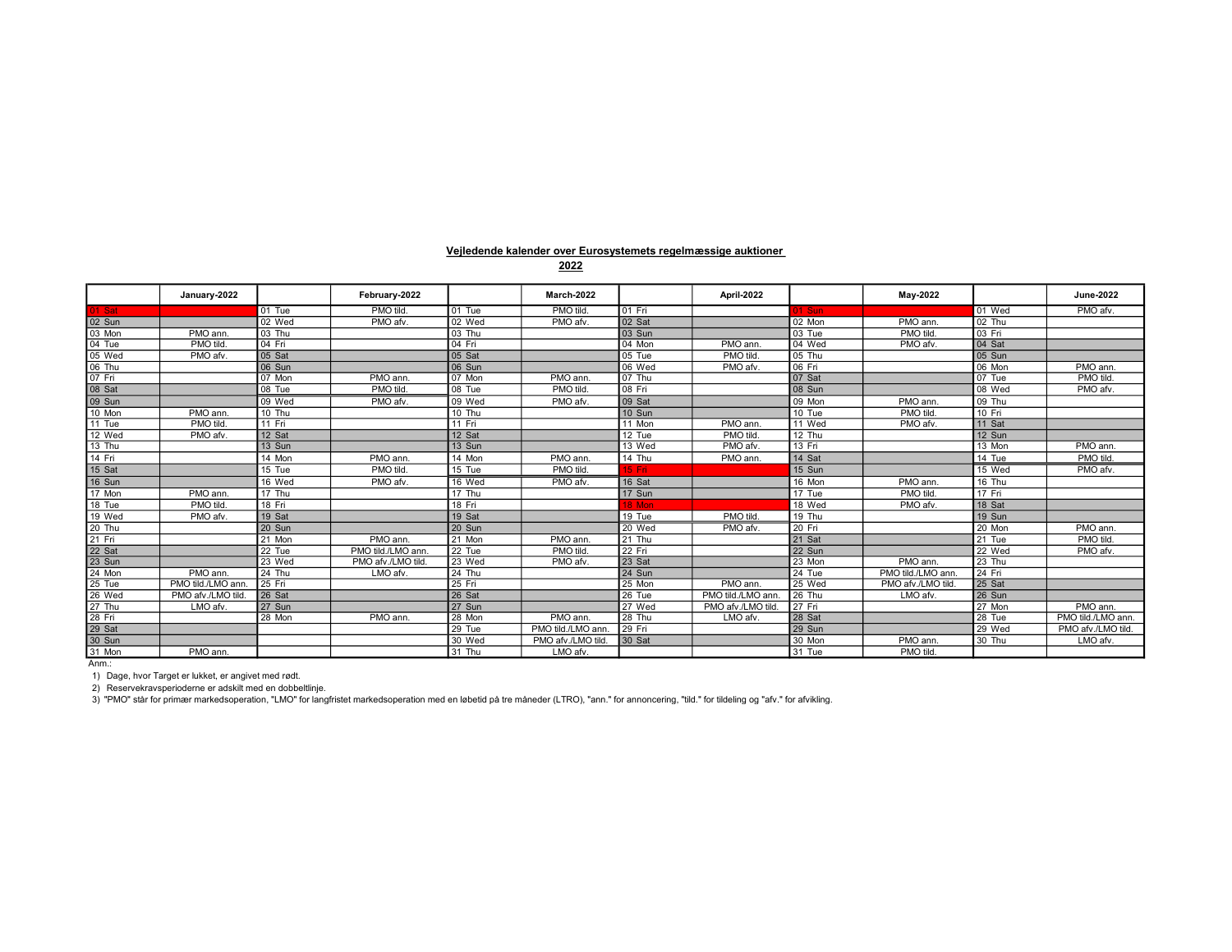## Vejledende kalender over Eurosystemets regelmæssige auktioner

|          | January-2022      |          | February-2022      |          | March-2022         |          | April-2022         |          | May-2022           |          | <b>June-2022</b>   |
|----------|-------------------|----------|--------------------|----------|--------------------|----------|--------------------|----------|--------------------|----------|--------------------|
| 01 Sat   |                   | $01$ Tue | PMO tild.          | 01 Tue   | <b>PMO tild</b>    | $01$ Fri |                    | 1 Sun    |                    | 01 Wed   | PMO afv.           |
| 02 Sun   |                   | 02 Wed   | PMO afv.           | 02 Wed   | PMO afv.           | 02 Sat   |                    | 02 Mon   | PMO ann.           | 02 Thu   |                    |
| 03 Mon   | PMO ann.          | 03 Thu   |                    | 03 Thu   |                    | 03 Sun   |                    | 03 Tue   | PMO tild           | 03 Fri   |                    |
| 04 Tue   | PMO tild.         | 04 Fri   |                    | 04 Fri   |                    | 04 Mon   | PMO ann.           | 04 Wed   | PMO afv.           | 04 Sat   |                    |
| 05 Wed   | PMO afv.          | 05 Sat   |                    | 05 Sat   |                    | 05 Tue   | PMO tild.          | 05 Thu   |                    | 05 Sun   |                    |
| 06 Thu   |                   | 06 Sun   |                    | 06 Sun   |                    | 06 Wed   | PMO afv.           | 06 Fri   |                    | 06 Mon   | PMO ann.           |
| 07 Fri   |                   | 07 Mon   | PMO ann.           | 07 Mon   | PMO ann.           | 07 Thu   |                    | 07 Sat   |                    | 07 Tue   | PMO tild.          |
| 08 Sat   |                   | 08 Tue   | PMO tild           | 08 Tue   | PMO tild.          | 08 Fri   |                    | 08 Sun   |                    | 08 Wed   | PMO afv.           |
| 09 Sun   |                   | 09 Wed   | PMO afv.           | 09 Wed   | PMO afv.           | 09 Sat   |                    | 09 Mon   | PMO ann.           | 09 Thu   |                    |
| 10 Mon   | PMO ann.          | 10 Thu   |                    | 10 Thu   |                    | 10 Sun   |                    | 10 Tue   | PMO tild           | $10$ Fri |                    |
| 11 Tue   | PMO tild.         | $11$ Fri |                    | $11$ Fri |                    | 11 Mon   | PMO ann.           | 11 Wed   | PMO afv            | 11 Sat   |                    |
| 12 Wed   | PMO afv.          | 12 Sat   |                    | 12 Sat   |                    | 12 Tue   | PMO tild.          | 12 Thu   |                    | 12 Sun   |                    |
| 13 Thu   |                   | 13 Sun   |                    | 13 Sun   |                    | 13 Wed   | PMO afv.           | 13 Fri   |                    | 13 Mon   | PMO ann.           |
| 14 Fri   |                   | 14 Mon   | PMO ann.           | 14 Mon   | PMO ann.           | 14 Thu   | PMO ann.           | 14 Sat   |                    | 14 Tue   | <b>PMO tild</b>    |
| 15 Sat   |                   | 15 Tue   | PMO tild.          | 15 Tue   | PMO tild           | 15 Fri   |                    | 15 Sun   |                    | 15 Wed   | PMO afv.           |
| 16 Sun   |                   | 16 Wed   | PMO afv.           | 16 Wed   | PMO afv.           | 16 Sat   |                    | 16 Mon   | PMO ann.           | 16 Thu   |                    |
| 17 Mon   | PMO ann.          | 17 Thu   |                    | 17 Thu   |                    | 17 Sun   |                    | 17 Tue   | PMO tild           | 17 Fri   |                    |
| 18 Tue   | PMO tild.         | 18 Fri   |                    | 18 Fri   |                    | 18 Mon   |                    | 18 Wed   | PMO afv            | 18 Sat   |                    |
| 19 Wed   | PMO afv.          | 19 Sat   |                    | 19 Sat   |                    | 19 Tue   | PMO tild.          | 19 Thu   |                    | 19 Sun   |                    |
| 20 Thu   |                   | 20 Sun   |                    | 20 Sun   |                    | 20 Wed   | PMO afv.           | 20 Fri   |                    | 20 Mon   | PMO ann.           |
| $21$ Fri |                   | 21 Mon   | PMO ann.           | 21 Mon   | PMO ann.           | 21 Thu   |                    | 21 Sat   |                    | 21 Tue   | PMO tild.          |
| 22 Sat   |                   | 22 Tue   | PMO tild./LMO ann. | 22 Tue   | PMO tild.          | $22$ Fri |                    | 22 Sun   |                    | 22 Wed   | PMO afv.           |
| 23 Sun   |                   | 23 Wed   | PMO afv./LMO tild. | 23 Wed   | PMO afv.           | 23 Sat   |                    | 23 Mon   | PMO ann.           | 23 Thu   |                    |
| 24 Mon   | PMO ann.          | 24 Thu   | LMO afv.           | 24 Thu   |                    | 24 Sun   |                    | 24 Tue   | PMO tild./LMO ann. | 24 Fri   |                    |
| 25 Tue   | PMO tild./LMO ann | $25$ Fri |                    | $25$ Fri |                    | 25 Mon   | PMO ann.           | 25 Wed   | PMO afv./LMO tild. | 25 Sat   |                    |
| 26 Wed   | PMO afv./LMO tilo | 26 Sat   |                    | 26 Sat   |                    | 26 Tue   | PMO tild./LMO ann  | 26 Thu   | LMO afv.           | 26 Sun   |                    |
| 27 Thu   | LMO afv.          | 27 Sun   |                    | 27 Sun   |                    | 27 Wed   | PMO afv./LMO tild. | $27$ Fri |                    | 27 Mon   | PMO ann.           |
| 28 Fri   |                   | 28 Mon   | PMO ann.           | 28 Mon   | PMO ann.           | 28 Thu   | LMO afv.           | 28 Sat   |                    | 28 Tue   | PMO tild./LMO ann. |
| 29 Sat   |                   |          |                    | 29 Tue   | PMO tild./LMO ann. | 29 Fri   |                    | 29 Sun   |                    | 29 Wed   | PMO afv./LMO tild. |
| 30 Sun   |                   |          |                    | 30 Wed   | PMO afv./LMO tild. | 30 Sat   |                    | 30 Mon   | PMO ann.           | 30 Thu   | LMO afv.           |
| 31 Mon   | PMO ann.          |          |                    | 31 Thu   | LMO afv.           |          |                    | 31 Tue   | PMO tild           |          |                    |

Anm.:

1) Dage, hvor Target er lukket, er angivet med rødt.

2) Reservekravsperioderne er adskilt med en dobbeltlinje.<br>3) "PMO" står for primær markedsoperation, "LMO" for langfristet markedsoperation med en løbetid på tre måneder (LTRO), "ann." for annoncering, "tild." for tildeli